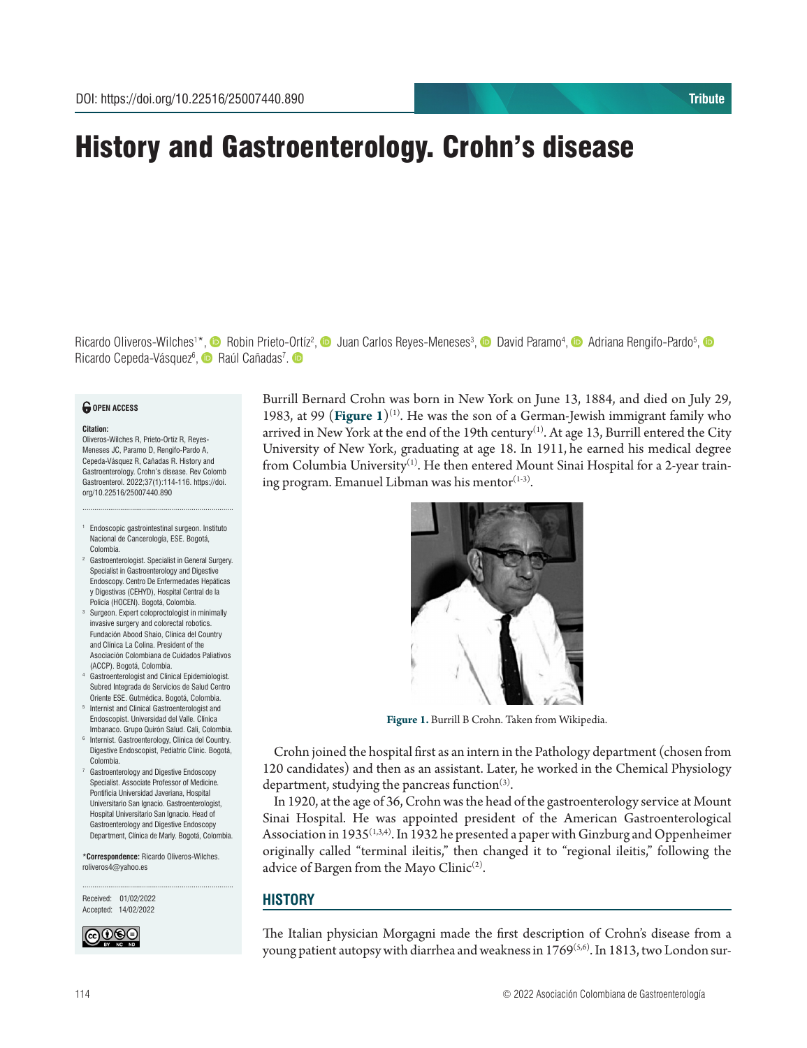# History and Gastroenterology. Crohn's disease

Ricardo Oliveros-Wilches<sup>1\*</sup>, © Robin Priet[o-Ortíz](https://orcid.org/0000-0003-2938-7731)<sup>2</sup>[,](https://orcid.org/0000-0002-6060-6480) © Juan Carlos Reyes-Meneses<sup>3</sup>, © David Paramo<sup>4</sup>, © Adriana Rengifo-Pardo<sup>5</sup>, Ricardo Cepeda-Vásquez<sup>6</sup>[,](https://orcid.org/0000-0002-3853-955X) **O** Raúl Cañadas<sup>7</sup>.

### *<u>O</del>* OPEN ACCESS</u>

#### **Citation:**

Oliveros-Wilches R, Prieto-Ortíz R, Reyes-Meneses JC, Paramo D, Rengifo-Pardo A, Cepeda-Vásquez R, Cañadas R. History and Gastroenterology. Crohn's disease. Rev Colomb Gastroenterol. 2022;37(1):114-116. https://doi. org/10.22516/25007440.890

<sup>1</sup> Endoscopic gastrointestinal surgeon. Instituto Nacional de Cancerología, ESE. Bogotá, Colombia.

............................................................................

- <sup>2</sup> Gastroenterologist. Specialist in General Surgery. Specialist in Gastroenterology and Digestive Endoscopy. Centro De Enfermedades Hepáticas y Digestivas (CEHYD), Hospital Central de la Policía (HOCEN). Bogotá, Colombia.
- <sup>3</sup> Surgeon. Expert coloproctologist in minimally invasive surgery and colorectal robotics. Fundación Abood Shaio, Clínica del Country and Clínica La Colina. President of the Asociación Colombiana de Cuidados Paliativos (ACCP). Bogotá, Colombia.
- <sup>4</sup> Gastroenterologist and Clinical Epidemiologist. Subred Integrada de Servicios de Salud Centro Oriente ESE. Gutmédica. Bogotá, Colombia.
- <sup>5</sup> Internist and Clinical Gastroenterologist and Endoscopist. Universidad del Valle. Clínica
- Imbanaco. Grupo Quirón Salud. Cali, Colombia. <sup>6</sup> Internist. Gastroenterology, Clínica del Country. Digestive Endoscopist, Pediatric Clinic. Bogotá, Colombia.
- Gastroenterology and Digestive Endoscopy Specialist. Associate Professor of Medicine. Pontificia Universidad Javeriana, Hospital Universitario San Ignacio. Gastroenterologist, Hospital Universitario San Ignacio. Head of Gastroenterology and Digestive Endoscopy Department, Clínica de Marly. Bogotá, Colombia.

\***Correspondence:** Ricardo Oliveros-Wilches. roliveros4@yahoo.es

............................................................................

Received: 01/02/2022 Accepted: 14/02/2022



Burrill Bernard Crohn was born in New York on June 13, 1884, and died on July 29, 1983, at 99 (**Figure** 1)<sup>(1)</sup>. He was the son of a German-Jewish immigrant family who arrived in New York at the end of the 19th century<sup>(1)</sup>. At age 13, Burrill entered the City University of New York, graduating at age 18. In 1911, he earned his medical degree from Columbia University<sup>(1)</sup>. He then entered Mount Sinai Hospital for a 2-year training program. Emanuel Libman was his mentor $(1-3)$ .



**Figure 1.** Burrill B Crohn. Taken from Wikipedia.

Crohn joined the hospital first as an intern in the Pathology department (chosen from 120 candidates) and then as an assistant. Later, he worked in the Chemical Physiology department, studying the pancreas function $(3)$ .

In 1920, at the age of 36, Crohn was the head of the gastroenterology service at Mount Sinai Hospital. He was appointed president of the American Gastroenterological Association in 1935<sup>(1,3,4)</sup>. In 1932 he presented a paper with Ginzburg and Oppenheimer originally called "terminal ileitis," then changed it to "regional ileitis," following the advice of Bargen from the Mayo Clinic<sup>(2)</sup>.

# **HISTORY**

The Italian physician Morgagni made the first description of Crohn's disease from a young patient autopsy with diarrhea and weakness in  $1769^{(5,6)}$ . In 1813, two London sur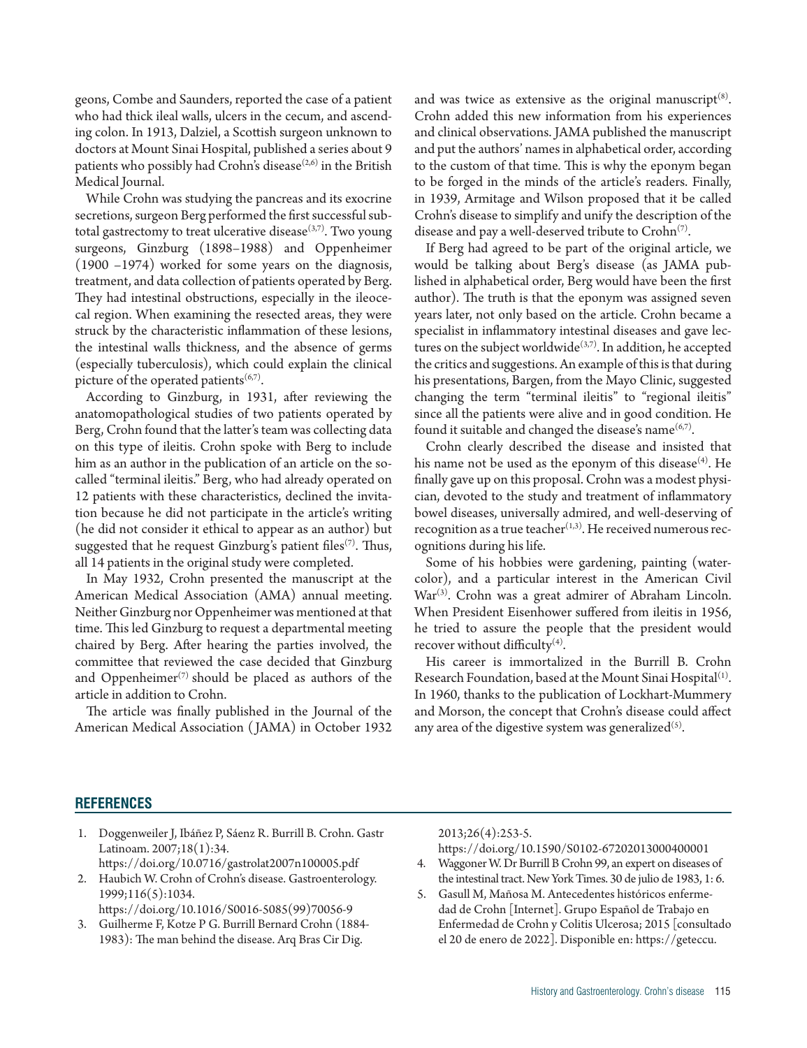geons, Combe and Saunders, reported the case of a patient who had thick ileal walls, ulcers in the cecum, and ascending colon. In 1913, Dalziel, a Scottish surgeon unknown to doctors at Mount Sinai Hospital, published a series about 9 patients who possibly had Crohn's disease $(2,6)$  in the British Medical Journal.

While Crohn was studying the pancreas and its exocrine secretions, surgeon Berg performed the first successful subtotal gastrectomy to treat ulcerative disease $(3,7)$ . Two young surgeons, Ginzburg (1898–1988) and Oppenheimer (1900 –1974) worked for some years on the diagnosis, treatment, and data collection of patients operated by Berg. They had intestinal obstructions, especially in the ileocecal region. When examining the resected areas, they were struck by the characteristic inflammation of these lesions, the intestinal walls thickness, and the absence of germs (especially tuberculosis), which could explain the clinical picture of the operated patients<sup> $(6,7)$ </sup>.

According to Ginzburg, in 1931, after reviewing the anatomopathological studies of two patients operated by Berg, Crohn found that the latter's team was collecting data on this type of ileitis. Crohn spoke with Berg to include him as an author in the publication of an article on the socalled "terminal ileitis." Berg, who had already operated on 12 patients with these characteristics, declined the invitation because he did not participate in the article's writing (he did not consider it ethical to appear as an author) but suggested that he request Ginzburg's patient files<sup>(7)</sup>. Thus, all 14 patients in the original study were completed.

In May 1932, Crohn presented the manuscript at the American Medical Association (AMA) annual meeting. Neither Ginzburg nor Oppenheimer was mentioned at that time. This led Ginzburg to request a departmental meeting chaired by Berg. After hearing the parties involved, the committee that reviewed the case decided that Ginzburg and Oppenheimer<sup> $(7)$ </sup> should be placed as authors of the article in addition to Crohn.

The article was finally published in the Journal of the American Medical Association ( JAMA) in October 1932 and was twice as extensive as the original manuscript $(8)$ . Crohn added this new information from his experiences and clinical observations. JAMA published the manuscript and put the authors' names in alphabetical order, according to the custom of that time. This is why the eponym began to be forged in the minds of the article's readers. Finally, in 1939, Armitage and Wilson proposed that it be called Crohn's disease to simplify and unify the description of the disease and pay a well-deserved tribute to  $Crohn^{(7)}$ .

If Berg had agreed to be part of the original article, we would be talking about Berg's disease (as JAMA published in alphabetical order, Berg would have been the first author). The truth is that the eponym was assigned seven years later, not only based on the article. Crohn became a specialist in inflammatory intestinal diseases and gave lectures on the subject worldwide $(3,7)$ . In addition, he accepted the critics and suggestions. An example of this is that during his presentations, Bargen, from the Mayo Clinic, suggested changing the term "terminal ileitis" to "regional ileitis" since all the patients were alive and in good condition. He found it suitable and changed the disease's name $(6,7)$ .

Crohn clearly described the disease and insisted that his name not be used as the eponym of this disease<sup>(4)</sup>. He finally gave up on this proposal. Crohn was a modest physician, devoted to the study and treatment of inflammatory bowel diseases, universally admired, and well-deserving of recognition as a true teacher $(1,3)$ . He received numerous recognitions during his life.

Some of his hobbies were gardening, painting (watercolor), and a particular interest in the American Civil  $War^{(3)}$ . Crohn was a great admirer of Abraham Lincoln. When President Eisenhower suffered from ileitis in 1956, he tried to assure the people that the president would recover without difficulty $(4)$ .

His career is immortalized in the Burrill B. Crohn Research Foundation, based at the Mount Sinai Hospital<sup>(1)</sup>. In 1960, thanks to the publication of Lockhart-Mummery and Morson, the concept that Crohn's disease could affect any area of the digestive system was generalized<sup>(5)</sup>.

# **REFERENCES**

- 1. Doggenweiler J, Ibáñez P, Sáenz R. Burrill B. Crohn. Gastr Latinoam. 2007;18(1):34. https://doi.org/10.0716/gastrolat2007n100005.pdf
- 2. Haubich W. Crohn of Crohn's disease. Gastroenterology. 1999;116(5):1034. https://doi.org/10.1016/S0016-5085(99)70056-9
- 3. Guilherme F, Kotze P G. Burrill Bernard Crohn (1884- 1983): The man behind the disease. Arq Bras Cir Dig.

2013;26(4):253-5.

- https://doi.org/10.1590/S0102-67202013000400001
- 4. Waggoner W. Dr Burrill B Crohn 99, an expert on diseases of the intestinal tract. New York Times. 30 de julio de 1983, 1: 6.
- 5. Gasull M, Mañosa M. Antecedentes históricos enfermedad de Crohn [Internet]. Grupo Español de Trabajo en Enfermedad de Crohn y Colitis Ulcerosa; 2015 [consultado el 20 de enero de 2022]. Disponible en: https://geteccu.